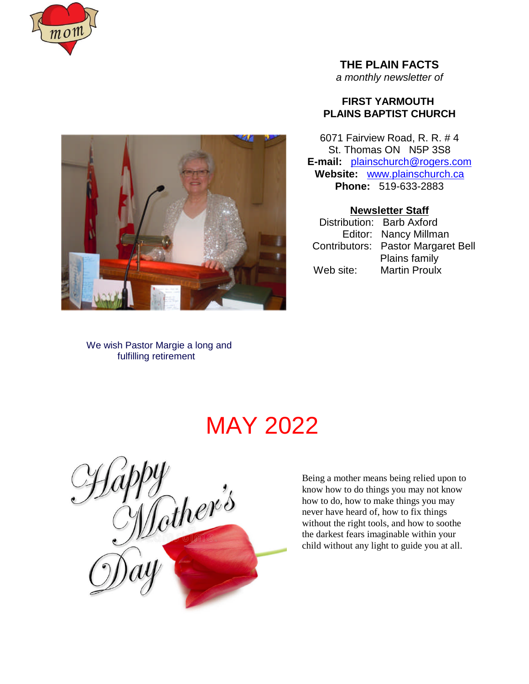



**THE PLAIN FACTS**

*a monthly newsletter of*

# **FIRST YARMOUTH PLAINS BAPTIST CHURCH**

6071 Fairview Road, R. R. # 4 St. Thomas ON N5P 3S8 **E-mail:** plainschurch@rogers.com **Website:** www.plainschurch.ca **Phone:** 519-633-2883

# **Newsletter Staff**

Distribution: Barb Axford Editor: Nancy Millman Contributors: Pastor Margaret Bell Plains family Web site: Martin Proulx

We wish Pastor Margie a long and fulfilling retirement

# MAY 2022

g<br>Lother's

Being a mother means being relied upon to know how to do things you may not know how to do, how to make things you may never have heard of, how to fix things without the right tools, and how to soothe the darkest fears imaginable within your child without any light to guide you at all.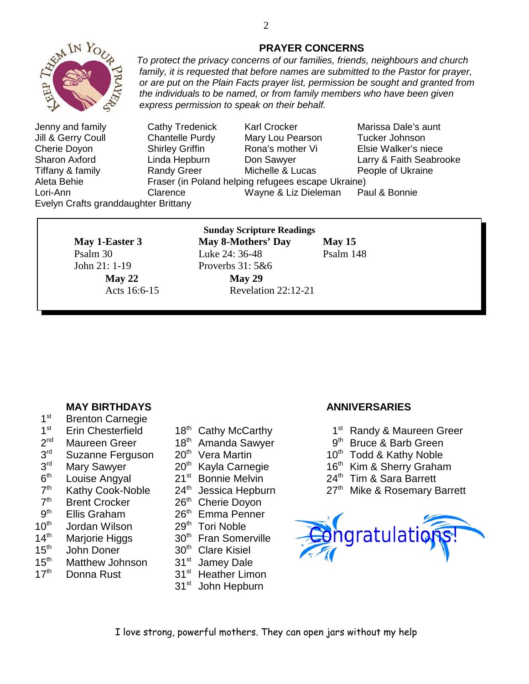

Jenny and family Cathy Tredenick Karl Crocker Marissa Dale's aunt Jill & Gerry Coull Chantelle Purdy Mary Lou Pearson Tucker Johnson Cherie Doyon Shirley Griffin Rona's mother Vi Elsie Walker's niece Sharon Axford Linda Hepburn Don Sawyer Larry & Faith Seabrooke Tiffany & family Randy Greer Michelle & Lucas People of Ukraine Aleta Behie Fraser (in Poland helping refugees escape Ukraine) Lori-Ann Clarence Wayne & Liz Dieleman Paul & Bonnie Evelyn Crafts granddaughter Brittany

*express permission to speak on their behalf.*

John 21: 1-19 Proverbs 31: 5&6

# **Sunday Scripture Readings**

**May 1-Easter 3** May 8-Mothers' Day May 15 Psalm 30 Luke 24: 36-48 Psalm 148 **May 22 May 29** Acts 16:6-15 Revelation 22:12-21

**MAY BIRTHDAYS ANNIVERSARIES**

- $1<sup>st</sup>$ **Brenton Carnegie**
- $1<sup>st</sup>$
- $2<sup>nd</sup>$
- $3<sup>rd</sup>$
- $3<sup>rd</sup>$
- $6<sup>th</sup>$
- $7<sup>th</sup>$
- $7<sup>th</sup>$
- $9<sup>th</sup>$
- $10^{th}$  Jordan Wilson  $29^{th}$  Tori Noble  $14^{th}$  Mariorie Higgs  $30^{th}$  Fran Some
- 
- 
- 15<sup>th</sup> Matthew Johnson 31<sup>st</sup> Jamey Dale
- 17<sup>th</sup> Donna Rust 31<sup>st</sup> Heather Limon
- 
- 
- 
- 
- 
- 
- Brent Crocker 26<sup>th</sup> Cherie Doyon
- Ellis Graham 26<sup>th</sup> Emma Penner
	-
- Marjorie Higgs 30<sup>th</sup> Fran Somerville
- $15<sup>th</sup>$  John Doner  $30<sup>th</sup>$  Clare Kisiel
	-
	-
	- 31<sup>st</sup> John Hepburn

- Erin Chesterfield 18<sup>th</sup> Cathy McCarthy 1<sup>st</sup> Randy & Maureen Greer
- Maureen Greer 18<sup>th</sup> Amanda Sawyer 9<sup>th</sup> Bruce & Barb Green
- Suzanne Ferguson  $20<sup>th</sup>$  Vera Martin  $10<sup>th</sup>$  Todd & Kathy Noble
- Mary Sawyer 20<sup>th</sup> Kayla Carnegie 16<sup>th</sup> Kim & Sherry Graham<br>Louise Angyal 21<sup>st</sup> Bonnie Melvin 24<sup>th</sup> Tim & Sara Barrett
- Louise Angyal 21<sup>st</sup> Bonnie Melvin 24<sup>th</sup> Tim & Sara Barrett
- Kathy Cook-Noble  $24<sup>th</sup>$  Jessica Hepburn  $27<sup>th</sup>$  Mike & Rosemary Barrett



# **PRAYER CONCERNS**

*To protect the privacy concerns of our families, friends, neighbours and church family, it is requested that before names are submitted to the Pastor for prayer, or are put on the Plain Facts prayer list, permission be sought and granted from the individuals to be named, or from family members who have been given*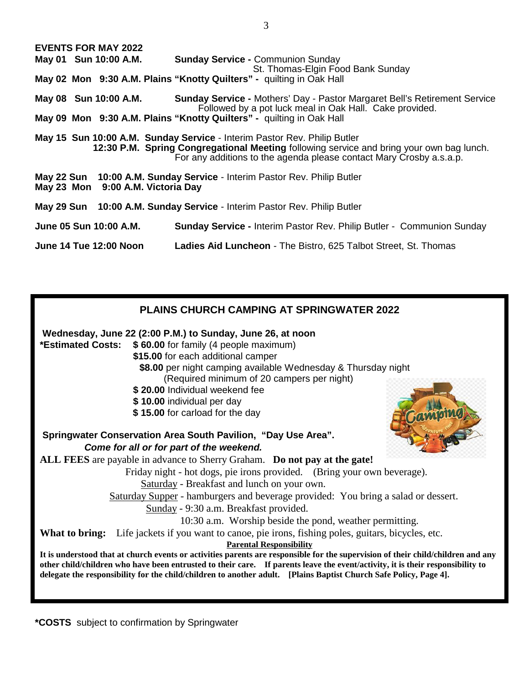| <b>EVENTS FOR MAY 2022</b>                                                                                                                                                                                                                  |                                                                                                                                                            |  |  |  |  |  |
|---------------------------------------------------------------------------------------------------------------------------------------------------------------------------------------------------------------------------------------------|------------------------------------------------------------------------------------------------------------------------------------------------------------|--|--|--|--|--|
| May 01 Sun 10:00 A.M.                                                                                                                                                                                                                       | <b>Sunday Service - Communion Sunday</b>                                                                                                                   |  |  |  |  |  |
| St. Thomas-Elgin Food Bank Sunday<br>May 02 Mon 9:30 A.M. Plains "Knotty Quilters" - quilting in Oak Hall                                                                                                                                   |                                                                                                                                                            |  |  |  |  |  |
|                                                                                                                                                                                                                                             |                                                                                                                                                            |  |  |  |  |  |
|                                                                                                                                                                                                                                             | May 08 Sun 10:00 A.M. Sunday Service - Mothers' Day - Pastor Margaret Bell's Retirement Service<br>Followed by a pot luck meal in Oak Hall. Cake provided. |  |  |  |  |  |
| May 09 Mon 9:30 A.M. Plains "Knotty Quilters" - quilting in Oak Hall                                                                                                                                                                        |                                                                                                                                                            |  |  |  |  |  |
| May 15 Sun 10:00 A.M. Sunday Service - Interim Pastor Rev. Philip Butler<br>12:30 P.M. Spring Congregational Meeting following service and bring your own bag lunch.<br>For any additions to the agenda please contact Mary Crosby a.s.a.p. |                                                                                                                                                            |  |  |  |  |  |
| May 22 Sun 10:00 A.M. Sunday Service - Interim Pastor Rev. Philip Butler<br>May 23 Mon 9:00 A.M. Victoria Day                                                                                                                               |                                                                                                                                                            |  |  |  |  |  |
| May 29 Sun 10:00 A.M. Sunday Service - Interim Pastor Rev. Philip Butler                                                                                                                                                                    |                                                                                                                                                            |  |  |  |  |  |
| June 05 Sun 10:00 A.M.                                                                                                                                                                                                                      | <b>Sunday Service - Interim Pastor Rev. Philip Butler - Communion Sunday</b>                                                                               |  |  |  |  |  |
| June 14 Tue 12:00 Noon                                                                                                                                                                                                                      | Ladies Aid Luncheon - The Bistro, 625 Talbot Street, St. Thomas                                                                                            |  |  |  |  |  |

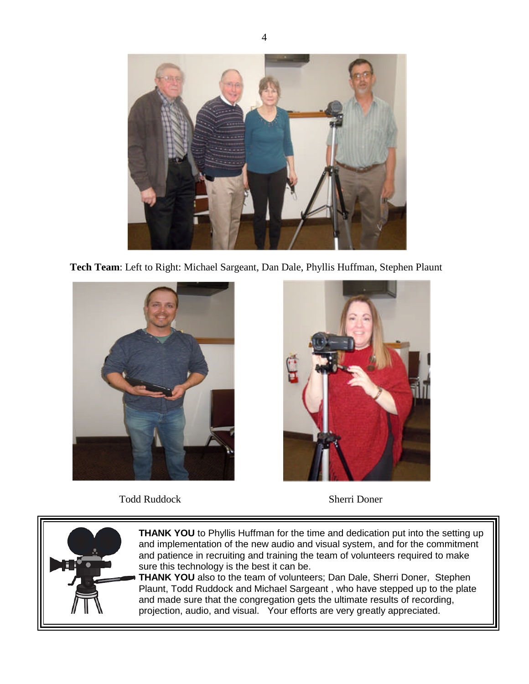

**Tech Team**: Left to Right: Michael Sargeant, Dan Dale, Phyllis Huffman, Stephen Plaunt



Todd Ruddock Sherri Doner



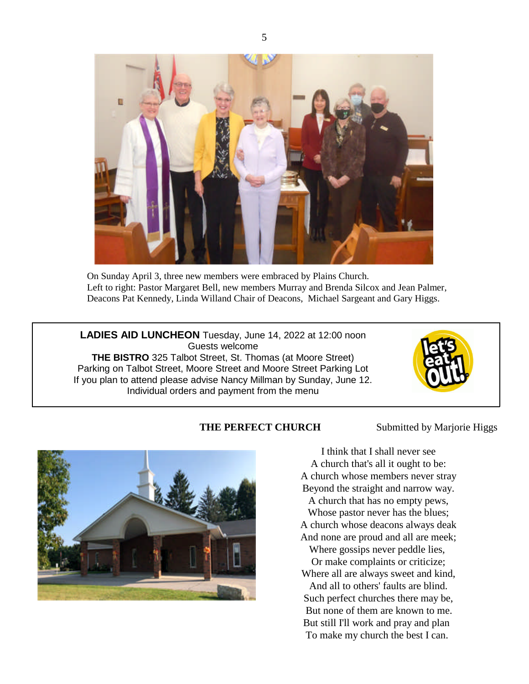

On Sunday April 3, three new members were embraced by Plains Church. Left to right: Pastor Margaret Bell, new members Murray and Brenda Silcox and Jean Palmer, Deacons Pat Kennedy, Linda Willand Chair of Deacons, Michael Sargeant and Gary Higgs.

**LADIES AID LUNCHEON** Tuesday, June 14, 2022 at 12:00 noon Guests welcome **THE BISTRO** 325 Talbot Street, St. Thomas (at Moore Street) Parking on Talbot Street, Moore Street and Moore Street Parking Lot If you plan to attend please advise Nancy Millman by Sunday, June 12. Individual orders and payment from the menu



# **THE PERFECT CHURCH** Submitted by Marjorie Higgs



I think that I shall never see A church that's all it ought to be: A church whose members never stray Beyond the straight and narrow way.

A church that has no empty pews,

Whose pastor never has the blues; A church whose deacons always deak And none are proud and all are meek;

Where gossips never peddle lies, Or make complaints or criticize; Where all are always sweet and kind, And all to others' faults are blind. Such perfect churches there may be, But none of them are known to me. But still I'll work and pray and plan To make my church the best I can.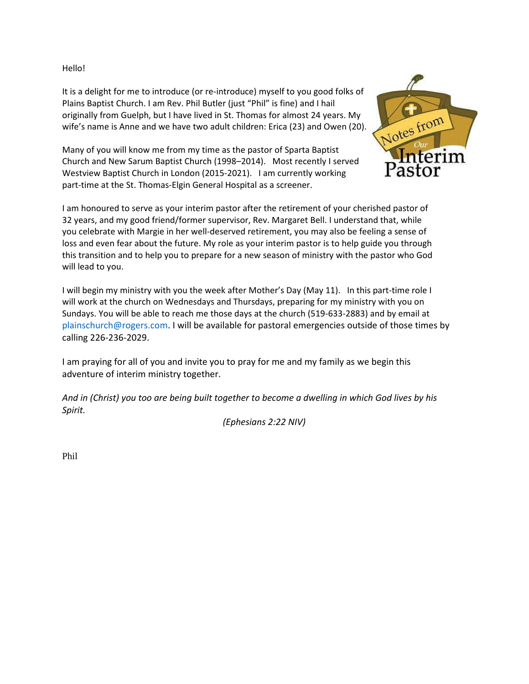Hello!

It is a delight for me to introduce (or re-introduce) myself to you good folks of Plains Baptist Church. I am Rev. Phil Butler (just "Phil" is fine) and I hail originally from Guelph, but I have lived in St. Thomas for almost 24 years. My wife's name is Anne and we have two adult children: Erica (23) and Owen (20).

Many of you will know me from my time as the pastor of Sparta Baptist Church and New Sarum Baptist Church (1998–2014). Most recently I served Westview Baptist Church in London (2015-2021). I am currently working part-time at the St. Thomas-Elgin General Hospital as a screener.



I am honoured to serve as your interim pastor after the retirement of your cherished pastor of 32 years, and my good friend/former supervisor, Rev. Margaret Bell. I understand that, while you celebrate with Margie in her well-deserved retirement, you may also be feeling a sense of loss and even fear about the future. My role as your interim pastor is to help guide you through this transition and to help you to prepare for a new season of ministry with the pastor who God will lead to you.

I will begin my ministry with you the week after Mother's Day (May 11). In this part-time role I will work at the church on Wednesdays and Thursdays, preparing for my ministry with you on Sundays. You will be able to reach me those days at the church (519-633-2883) and by email at plainschurch@rogers.com. I will be available for pastoral emergencies outside of those times by calling 226-236-2029.

I am praying for all of you and invite you to pray for me and my family as we begin this adventure of interim ministry together.

*And in (Christ) you too are being built together to become a dwelling in which God lives by his Spirit.*

*(Ephesians 2:22 NIV)*

Phil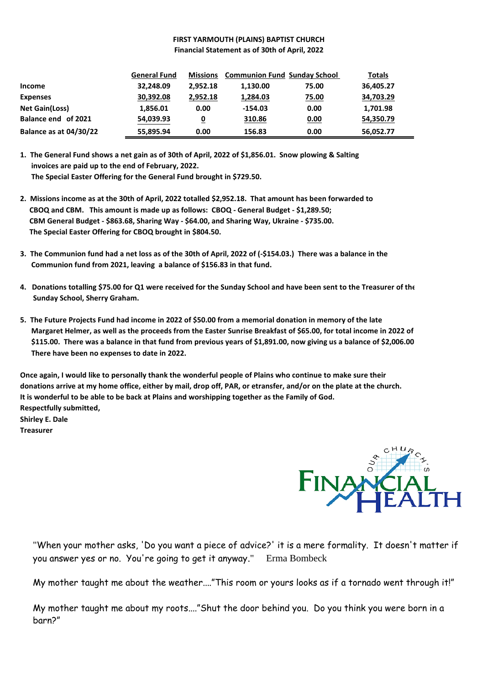## **FIRST YARMOUTH (PLAINS) BAPTIST CHURCH Financial Statement as of 30th of April, 2022**

|                        | <b>General Fund</b> | <b>Missions</b> | <b>Communion Fund Sunday School</b> |              | <b>Totals</b> |
|------------------------|---------------------|-----------------|-------------------------------------|--------------|---------------|
| Income                 | 32,248.09           | 2,952.18        | 1,130.00                            | 75.00        | 36,405.27     |
| <b>Expenses</b>        | 30,392.08           | 2,952.18        | 1,284.03                            | <u>75.00</u> | 34,703.29     |
| <b>Net Gain(Loss)</b>  | 1,856.01            | 0.00            | $-154.03$                           | 0.00         | 1,701.98      |
| Balance end of 2021    | 54,039.93           | 0               | 310.86                              | 0.00         | 54,350.79     |
| Balance as at 04/30/22 | 55,895.94           | 0.00            | 156.83                              | 0.00         | 56,052.77     |

**1. The General Fund shows a net gain as of 30th of April, 2022 of \$1,856.01. Snow plowing & Salting invoices are paid up to the end of February, 2022. The Special Easter Offering for the General Fund brought in \$729.50.**

- **2. Missions income as at the 30th of April, 2022 totalled \$2,952.18. That amount has been forwarded to CBOQ and CBM. This amount is made up as follows: CBOQ - General Budget - \$1,289.50; CBM General Budget - \$863.68, Sharing Way - \$64.00, and Sharing Way, Ukraine - \$735.00. The Special Easter Offering for CBOQ brought in \$804.50.**
- **3. The Communion fund had a net loss as of the 30th of April, 2022 of (-\$154.03.) There was a balance in the Communion fund from 2021, leaving a balance of \$156.83 in that fund.**
- **4. Donations totalling \$75.00 for Q1 were received for the Sunday School and have been sent to the Treasurer of the Sunday School, Sherry Graham.**
- **5. The Future Projects Fund had income in 2022 of \$50.00 from a memorial donation in memory of the late Margaret Helmer, as well as the proceeds from the Easter Sunrise Breakfast of \$65.00, for total income in 2022 of \$115.00. There was a balance in that fund from previous years of \$1,891.00, now giving us a balance of \$2,006.00 . There have been no expenses to date in 2022.**

**Once again, I would like to personally thank the wonderful people of Plains who continue to make sure their donations arrive at my home office, either by mail, drop off, PAR, or etransfer, and/or on the plate at the church. It is wonderful to be able to be back at Plains and worshipping together as the Family of God. Respectfully submitted, Shirley E. Dale**

**Treasurer**



"When your mother asks, 'Do you want a piece of advice?' it is a mere formality. It doesn't matter if you answer yes or no. You're going to get it anyway." Erma Bombeck

My mother taught me about the weather...."This room or yours looks as if a tornado went through it!"

My mother taught me about my roots...."Shut the door behind you. Do you think you were born in a barn?"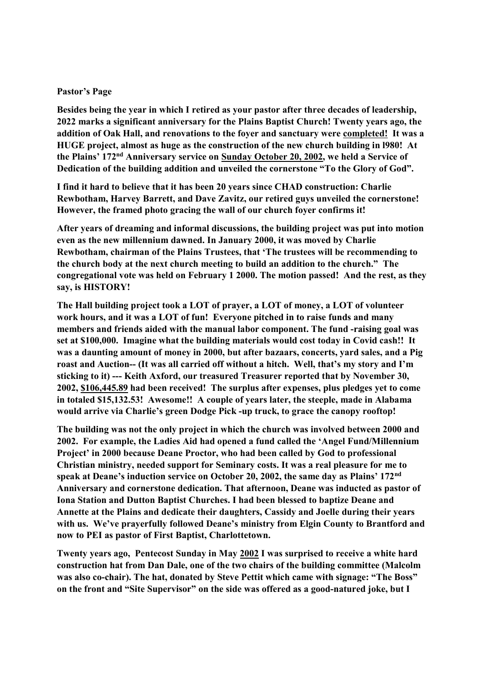### **Pastor's Page**

**Besides being the year in which I retired as your pastor after three decades of leadership, 2022 marks a significant anniversary for the Plains Baptist Church! Twenty years ago, the addition of Oak Hall, and renovations to the foyer and sanctuary were completed! It was a HUGE project, almost as huge as the construction of the new church building in l980! At the Plains' 172nd Anniversary service on Sunday October 20, 2002, we held a Service of Dedication of the building addition and unveiled the cornerstone "To the Glory of God".**

**I find it hard to believe that it has been 20 years since CHAD construction: Charlie Rewbotham, Harvey Barrett, and Dave Zavitz, our retired guys unveiled the cornerstone! However, the framed photo gracing the wall of our church foyer confirms it!**

**After years of dreaming and informal discussions, the building project was put into motion even as the new millennium dawned. In January 2000, it was moved by Charlie Rewbotham, chairman of the Plains Trustees, that 'The trustees will be recommending to the church body at the next church meeting to build an addition to the church." The congregational vote was held on February 1 2000. The motion passed! And the rest, as they say, is HISTORY!**

**The Hall building project took a LOT of prayer, a LOT of money, a LOT of volunteer work hours, and it was a LOT of fun! Everyone pitched in to raise funds and many members and friends aided with the manual labor component. The fund -raising goal was set at \$100,000. Imagine what the building materials would cost today in Covid cash!! It was a daunting amount of money in 2000, but after bazaars, concerts, yard sales, and a Pig roast and Auction-- (It was all carried off without a hitch. Well, that's my story and I'm sticking to it) --- Keith Axford, our treasured Treasurer reported that by November 30, 2002, \$106,445.89 had been received! The surplus after expenses, plus pledges yet to come in totaled \$15,132.53! Awesome!! A couple of years later, the steeple, made in Alabama would arrive via Charlie's green Dodge Pick -up truck, to grace the canopy rooftop!**

**The building was not the only project in which the church was involved between 2000 and 2002. For example, the Ladies Aid had opened a fund called the 'Angel Fund/Millennium Project' in 2000 because Deane Proctor, who had been called by God to professional Christian ministry, needed support for Seminary costs. It was a real pleasure for me to speak at Deane's induction service on October 20, 2002, the same day as Plains' 172nd Anniversary and cornerstone dedication. That afternoon, Deane was inducted as pastor of Iona Station and Dutton Baptist Churches. I had been blessed to baptize Deane and Annette at the Plains and dedicate their daughters, Cassidy and Joelle during their years with us. We've prayerfully followed Deane's ministry from Elgin County to Brantford and now to PEI as pastor of First Baptist, Charlottetown.**

**Twenty years ago, Pentecost Sunday in May 2002 I was surprised to receive a white hard construction hat from Dan Dale, one of the two chairs of the building committee (Malcolm was also co-chair). The hat, donated by Steve Pettit which came with signage: "The Boss" on the front and "Site Supervisor" on the side was offered as a good-natured joke, but I**